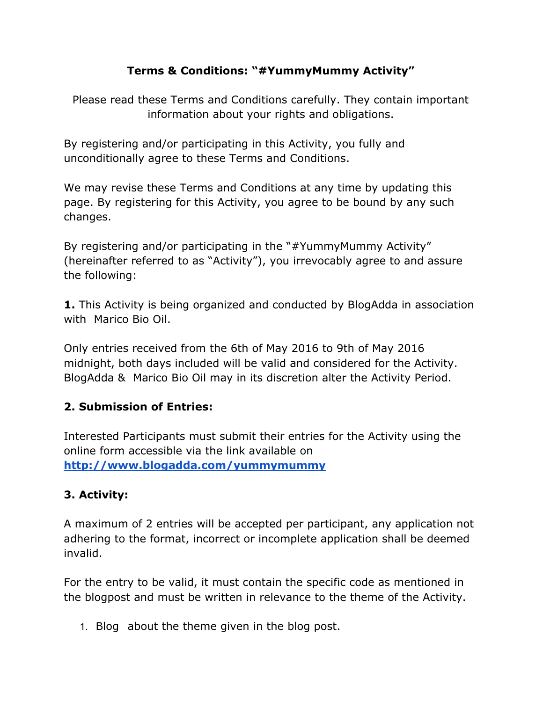### **Terms & Conditions: "#YummyMummy Activity"**

Please read these Terms and Conditions carefully. They contain important information about your rights and obligations.

By registering and/or participating in this Activity, you fully and unconditionally agree to these Terms and Conditions.

We may revise these Terms and Conditions at any time by updating this page. By registering for this Activity, you agree to be bound by any such changes.

By registering and/or participating in the "#YummyMummy Activity" (hereinafter referred to as "Activity"), you irrevocably agree to and assure the following:

**1.**This Activity is being organized and conducted by BlogAdda in association with Marico Bio Oil.

Only entries received from the 6th of May 2016 to 9th of May 2016 midnight, both days included will be valid and considered for the Activity. BlogAdda & Marico Bio Oil may in its discretion alter the Activity Period.

### **2. Submission of Entries:**

Interested Participants must submit their entries for the Activity using the online form accessible via the link available on **<http://www.blogadda.com/yummymummy>**

# **3. Activity:**

A maximum of 2 entries will be accepted per participant, any application not adhering to the format, incorrect or incomplete application shall be deemed invalid.

For the entry to be valid, it must contain the specific code as mentioned in the blogpost and must be written in relevance to the theme of the Activity.

1. Blog about the theme given in the blog post.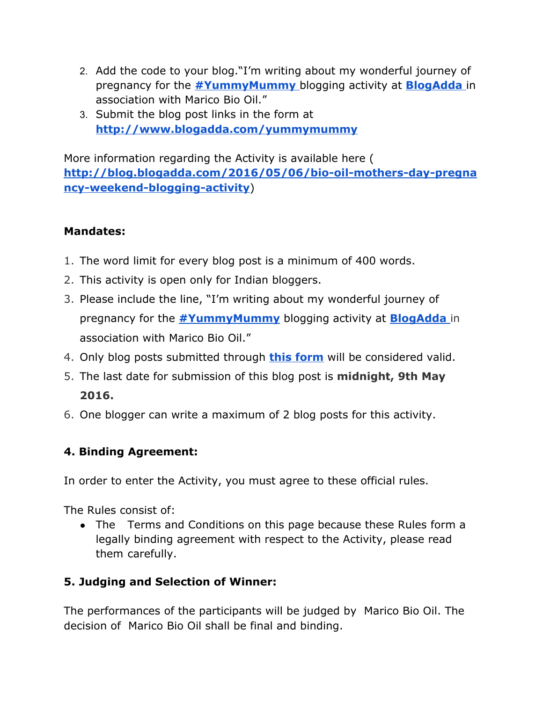- 2. Add the code to your blog."I'm writing about my wonderful journey of pregnancy for the **[#YummyMummy](http://www.amazon.in/Bio-MA1377-Bio-Oil-60ml/dp/B00GMC04BK)**blogging activity at **[BlogAdda](http://www.blogadda.com/)**in association with Marico Bio Oil."
- 3. Submit the blog post links in the form at **<http://www.blogadda.com/yummymummy>**

More information regarding the Activity is available here ( http://blog.blogadda.com/2016/05/06/bio-oil-mothers-day-pregna **ncy-weekend-blogging-activity**)

### **Mandates:**

- 1. The word limit for every blog post is a minimum of 400 words.
- 2. This activity is open only for Indian bloggers.
- 3. Please include the line, "I'm writing about my wonderful journey of pregnancy for the **[#YummyMummy](http://www.amazon.in/Bio-MA1377-Bio-Oil-60ml/dp/B00GMC04BK)** blogging activity at **[BlogAdda](http://www.blogadda.com/)** in association with Marico Bio Oil."
- 4. Only blog posts submitted through **this [form](http://www.blogadda.com/yummymummy)**will be considered valid.
- 5. The last date for submission of this blog post is **midnight, 9th May 2016.**
- 6. One blogger can write a maximum of 2 blog posts for this activity.

### **4. Binding Agreement:**

In order to enter the Activity, you must agree to these official rules.

The Rules consist of:

• The Terms and Conditions on this page because these Rules form a legally binding agreement with respect to the Activity, please read them carefully.

### **5. Judging and Selection of Winner:**

The performances of the participants will be judged by Marico Bio Oil. The decision of Marico Bio Oil shall be final and binding.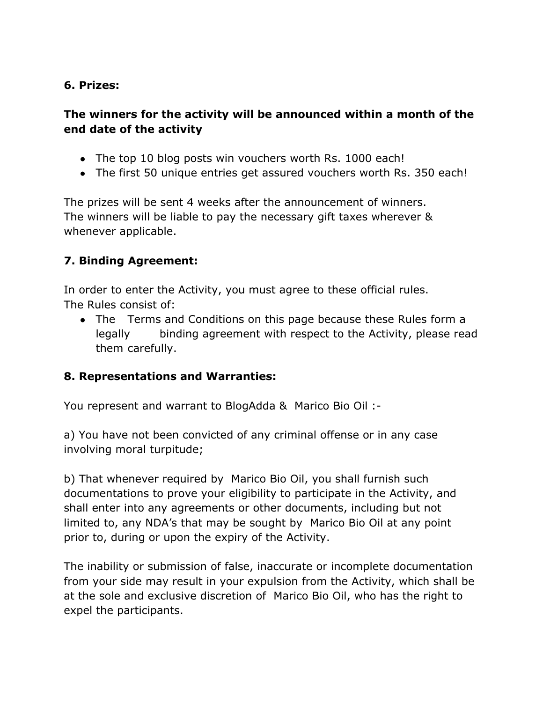#### **6. Prizes:**

#### **The winners for the activity will be announced within a month of the end date of the activity**

- The top 10 blog posts win vouchers worth Rs. 1000 each!
- The first 50 unique entries get assured vouchers worth Rs. 350 each!

The prizes will be sent 4 weeks after the announcement of winners. The winners will be liable to pay the necessary gift taxes wherever & whenever applicable.

### **7. Binding Agreement:**

In order to enter the Activity, you must agree to these official rules. The Rules consist of:

• The Terms and Conditions on this page because these Rules form a legally binding agreement with respect to the Activity, please read them carefully.

#### **8. Representations and Warranties:**

You represent and warrant to BlogAdda & Marico Bio Oil :

a) You have not been convicted of any criminal offense or in any case involving moral turpitude;

b) That whenever required by Marico Bio Oil, you shall furnish such documentations to prove your eligibility to participate in the Activity, and shall enter into any agreements or other documents, including but not limited to, any NDA's that may be sought by Marico Bio Oil at any point prior to, during or upon the expiry of the Activity.

The inability or submission of false, inaccurate or incomplete documentation from your side may result in your expulsion from the Activity, which shall be at the sole and exclusive discretion of Marico Bio Oil, who has the right to expel the participants.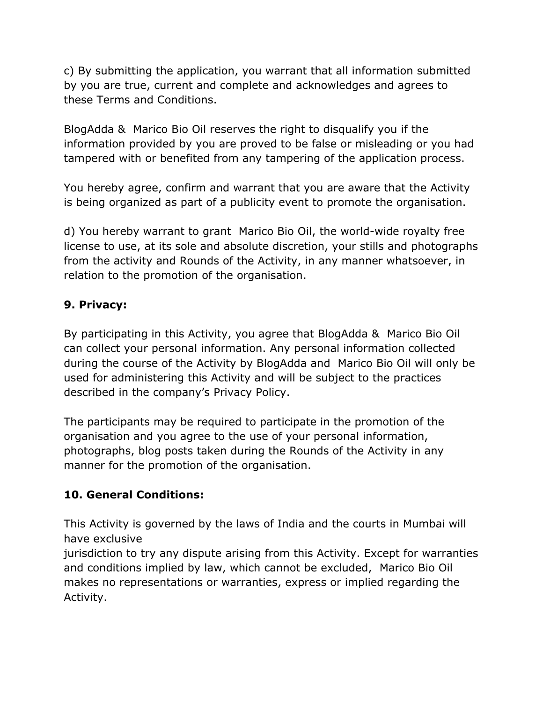c) By submitting the application, you warrant that all information submitted by you are true, current and complete and acknowledges and agrees to these Terms and Conditions.

BlogAdda & Marico Bio Oil reserves the right to disqualify you if the information provided by you are proved to be false or misleading or you had tampered with or benefited from any tampering of the application process.

You hereby agree, confirm and warrant that you are aware that the Activity is being organized as part of a publicity event to promote the organisation.

d) You hereby warrant to grant Marico Bio Oil, the world-wide royalty free license to use, at its sole and absolute discretion, your stills and photographs from the activity and Rounds of the Activity, in any manner whatsoever, in relation to the promotion of the organisation.

### **9. Privacy:**

By participating in this Activity, you agree that BlogAdda & Marico Bio Oil can collect your personal information. Any personal information collected during the course of the Activity by BlogAdda and Marico Bio Oil will only be used for administering this Activity and will be subject to the practices described in the company's Privacy Policy.

The participants may be required to participate in the promotion of the organisation and you agree to the use of your personal information, photographs, blog posts taken during the Rounds of the Activity in any manner for the promotion of the organisation.

### **10. General Conditions:**

This Activity is governed by the laws of India and the courts in Mumbai will have exclusive

jurisdiction to try any dispute arising from this Activity. Except for warranties and conditions implied by law, which cannot be excluded, Marico Bio Oil makes no representations or warranties, express or implied regarding the Activity.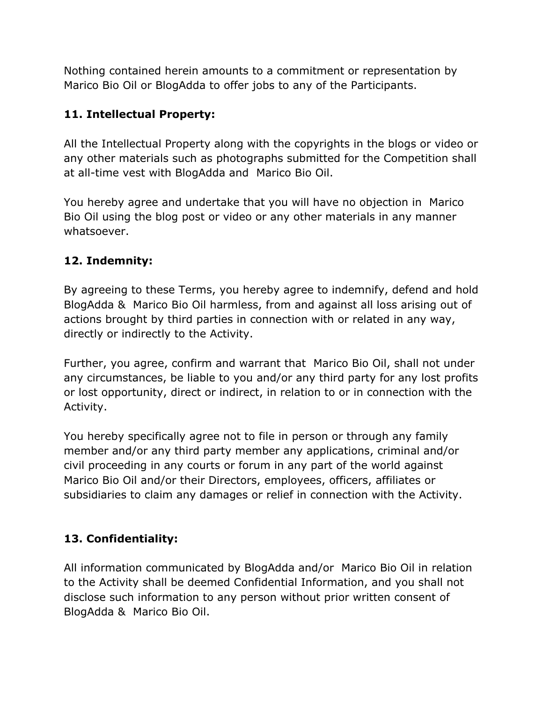Nothing contained herein amounts to a commitment or representation by Marico Bio Oil or BlogAdda to offer jobs to any of the Participants.

## **11. Intellectual Property:**

All the Intellectual Property along with the copyrights in the blogs or video or any other materials such as photographs submitted for the Competition shall at all-time vest with BlogAdda and Marico Bio Oil.

You hereby agree and undertake that you will have no objection in Marico Bio Oil using the blog post or video or any other materials in any manner whatsoever.

### **12. Indemnity:**

By agreeing to these Terms, you hereby agree to indemnify, defend and hold BlogAdda & Marico Bio Oil harmless, from and against all loss arising out of actions brought by third parties in connection with or related in any way, directly or indirectly to the Activity.

Further, you agree, confirm and warrant that Marico Bio Oil, shall not under any circumstances, be liable to you and/or any third party for any lost profits or lost opportunity, direct or indirect, in relation to or in connection with the Activity.

You hereby specifically agree not to file in person or through any family member and/or any third party member any applications, criminal and/or civil proceeding in any courts or forum in any part of the world against Marico Bio Oil and/or their Directors, employees, officers, affiliates or subsidiaries to claim any damages or relief in connection with the Activity.

# **13. Confidentiality:**

All information communicated by BlogAdda and/or Marico Bio Oil in relation to the Activity shall be deemed Confidential Information, and you shall not disclose such information to any person without prior written consent of BlogAdda & Marico Bio Oil.